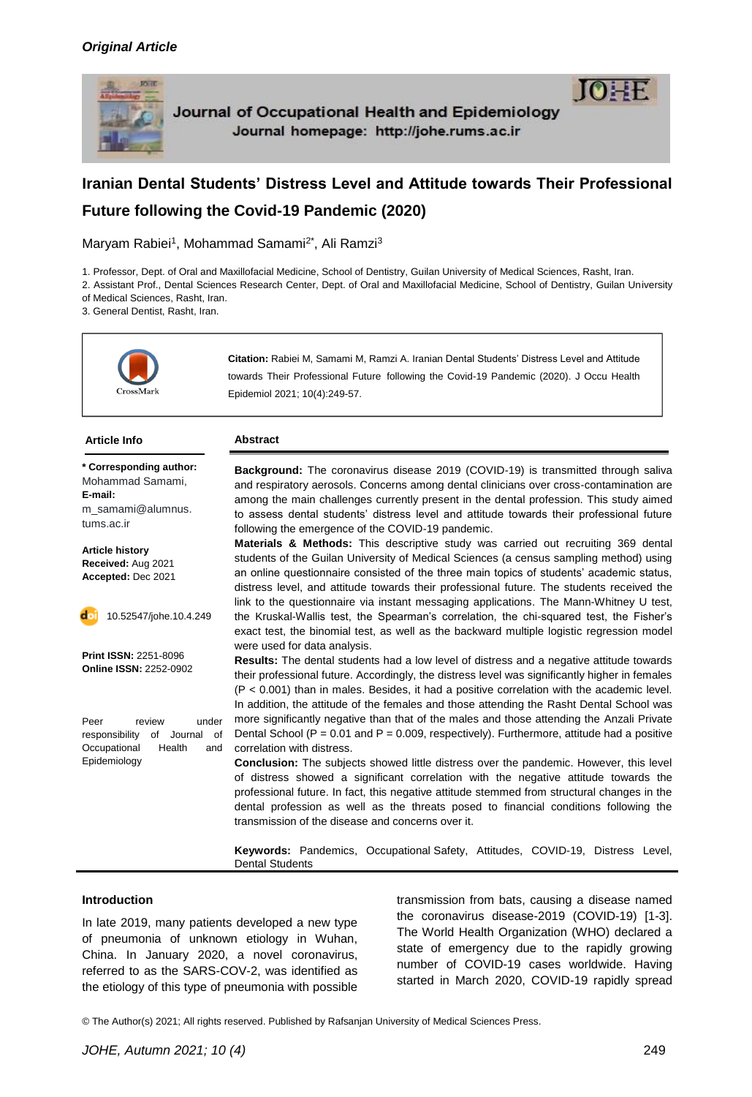



Maryam Rabiei<sup>1</sup>, Mohammad Samami<sup>2\*</sup>, Ali Ramzi<sup>3</sup>

1. Professor, Dept. of Oral and Maxillofacial Medicine, School of Dentistry, Guilan University of Medical Sciences, Rasht, Iran.

2. Assistant Prof., Dental Sciences Research Center, Dept. of Oral and Maxillofacial Medicine, School of Dentistry, Guilan University of Medical Sciences, Rasht, Iran.

3. General Dentist, Rasht, Iran.



**Citation:** Rabiei M, Samami M, Ramzi A. Iranian Dental Students' Distress Level and Attitude towards Their Professional Future following the Covid-19 Pandemic (2020). J Occu Health Epidemiol 2021; 10(4):249-57.

#### **Article Info Abstract**

**\* Corresponding author:** Mohammad Samami, **E-mail:** m\_samami@alumnus. tums.ac.ir

**Article history Received:** Aug 2021 **Accepted:** Dec 2021

10.52547/johe.10.4.249

**Print ISSN:** 2251-8096 **Online ISSN:** 2252-0902

Peer review under responsibility of Journal of Occupational Health and Epidemiology

**Background:** The coronavirus disease 2019 (COVID-19) is transmitted through saliva and respiratory aerosols. Concerns among dental clinicians over cross-contamination are among the main challenges currently present in the dental profession. This study aimed to assess dental students' distress level and attitude towards their professional future following the emergence of the COVID-19 pandemic.

**Materials & Methods:** This descriptive study was carried out recruiting 369 dental students of the Guilan University of Medical Sciences (a census sampling method) using an online questionnaire consisted of the three main topics of students' academic status, distress level, and attitude towards their professional future. The students received the link to the questionnaire via instant messaging applications. The Mann-Whitney U test, the Kruskal-Wallis test, the Spearman's correlation, the chi-squared test, the Fisher's exact test, the binomial test, as well as the backward multiple logistic regression model were used for data analysis.

**Results:** The dental students had a low level of distress and a negative attitude towards their professional future. Accordingly, the distress level was significantly higher in females (P < 0.001) than in males. Besides, it had a positive correlation with the academic level. In addition, the attitude of the females and those attending the Rasht Dental School was more significantly negative than that of the males and those attending the Anzali Private Dental School ( $P = 0.01$  and  $P = 0.009$ , respectively). Furthermore, attitude had a positive correlation with distress.

**Conclusion:** The subjects showed little distress over the pandemic. However, this level of distress showed a significant correlation with the negative attitude towards the professional future. In fact, this negative attitude stemmed from structural changes in the dental profession as well as the threats posed to financial conditions following the transmission of the disease and concerns over it.

**Keywords:** Pandemics, Occupational Safety, Attitudes, COVID-19, Distress Level, Dental Students

#### **Introduction**

In late 2019, many patients developed a new type of pneumonia of unknown etiology in Wuhan, China. In January 2020, a novel coronavirus, referred to as the SARS-COV-2, was identified as the etiology of this type of pneumonia with possible

transmission from bats, causing a disease named the coronavirus disease-2019 (COVID-19) [1-3]. The World Health Organization (WHO) declared a state of emergency due to the rapidly growing number of COVID-19 cases worldwide. Having started in March 2020, COVID-19 rapidly spread

© The Author(s) 2021; All rights reserved. Published by Rafsanjan University of Medical Sciences Press.

 $10 \pm F$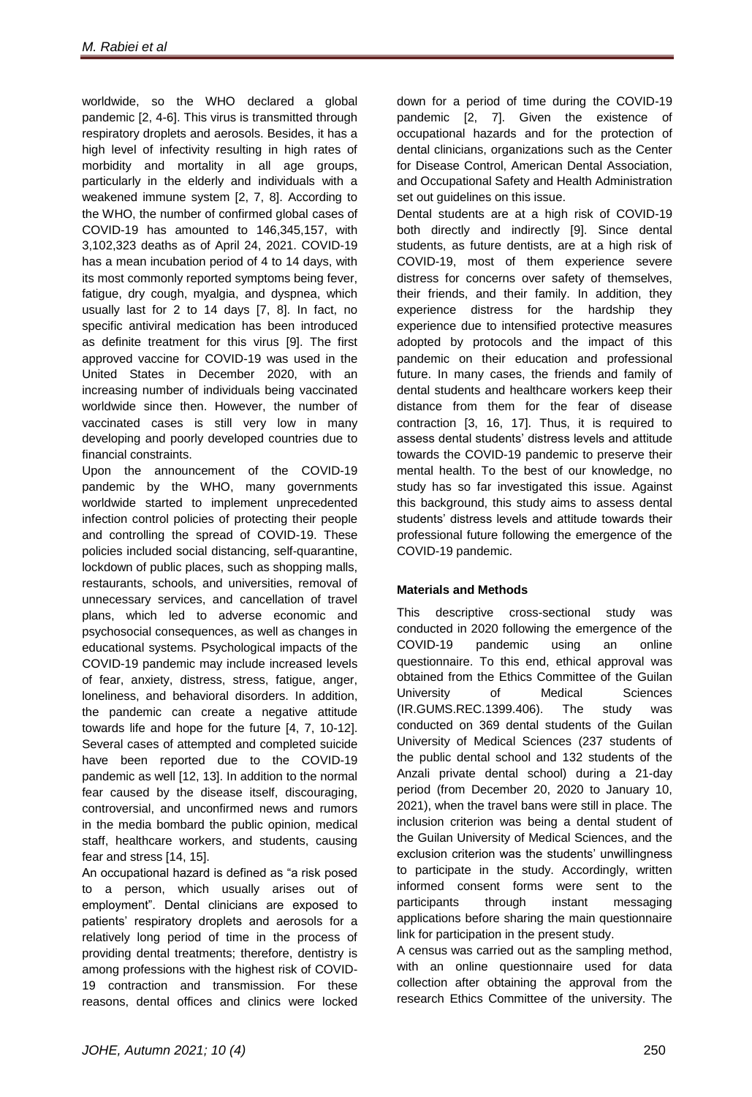worldwide, so the WHO declared a global pandemic [2, 4-6]. This virus is transmitted through respiratory droplets and aerosols. Besides, it has a high level of infectivity resulting in high rates of morbidity and mortality in all age groups, particularly in the elderly and individuals with a weakened immune system [2, 7, 8]. According to the WHO, the number of confirmed global cases of COVID-19 has amounted to 146,345,157, with 3,102,323 deaths as of April 24, 2021. COVID-19 has a mean incubation period of 4 to 14 days, with its most commonly reported symptoms being fever, fatigue, dry cough, myalgia, and dyspnea, which usually last for 2 to 14 days [7, 8]. In fact, no specific antiviral medication has been introduced as definite treatment for this virus [9]. The first approved vaccine for COVID-19 was used in the United States in December 2020, with an increasing number of individuals being vaccinated worldwide since then. However, the number of vaccinated cases is still very low in many developing and poorly developed countries due to financial constraints.

Upon the announcement of the COVID-19 pandemic by the WHO, many governments worldwide started to implement unprecedented infection control policies of protecting their people and controlling the spread of COVID-19. These policies included social distancing, self-quarantine, lockdown of public places, such as shopping malls, restaurants, schools, and universities, removal of unnecessary services, and cancellation of travel plans, which led to adverse economic and psychosocial consequences, as well as changes in educational systems. Psychological impacts of the COVID-19 pandemic may include increased levels of fear, anxiety, distress, stress, fatigue, anger, loneliness, and behavioral disorders. In addition, the pandemic can create a negative attitude towards life and hope for the future [4, 7, 10-12]. Several cases of attempted and completed suicide have been reported due to the COVID-19 pandemic as well [12, 13]. In addition to the normal fear caused by the disease itself, discouraging, controversial, and unconfirmed news and rumors in the media bombard the public opinion, medical staff, healthcare workers, and students, causing fear and stress [14, 15].

An occupational hazard is defined as "a risk posed to a person, which usually arises out of employment". Dental clinicians are exposed to patients' respiratory droplets and aerosols for a relatively long period of time in the process of providing dental treatments; therefore, dentistry is among professions with the highest risk of COVID-19 contraction and transmission. For these reasons, dental offices and clinics were locked

down for a period of time during the COVID-19 pandemic [2, 7]. Given the existence of occupational hazards and for the protection of dental clinicians, organizations such as the Center for Disease Control, American Dental Association, and Occupational Safety and Health Administration set out quidelines on this issue.

Dental students are at a high risk of COVID-19 both directly and indirectly [9]. Since dental students, as future dentists, are at a high risk of COVID-19, most of them experience severe distress for concerns over safety of themselves, their friends, and their family. In addition, they experience distress for the hardship they experience due to intensified protective measures adopted by protocols and the impact of this pandemic on their education and professional future. In many cases, the friends and family of dental students and healthcare workers keep their distance from them for the fear of disease contraction [3, 16, 17]. Thus, it is required to assess dental students' distress levels and attitude towards the COVID-19 pandemic to preserve their mental health. To the best of our knowledge, no study has so far investigated this issue. Against this background, this study aims to assess dental students' distress levels and attitude towards their professional future following the emergence of the COVID-19 pandemic.

# **Materials and Methods**

This descriptive cross-sectional study was conducted in 2020 following the emergence of the COVID-19 pandemic using an online questionnaire. To this end, ethical approval was obtained from the Ethics Committee of the Guilan University of Medical Sciences (IR.GUMS.REC.1399.406). The study was conducted on 369 dental students of the Guilan University of Medical Sciences (237 students of the public dental school and 132 students of the Anzali private dental school) during a 21-day period (from December 20, 2020 to January 10, 2021), when the travel bans were still in place. The inclusion criterion was being a dental student of the Guilan University of Medical Sciences, and the exclusion criterion was the students' unwillingness to participate in the study. Accordingly, written informed consent forms were sent to the participants through instant messaging applications before sharing the main questionnaire link for participation in the present study.

A census was carried out as the sampling method, with an online questionnaire used for data collection after obtaining the approval from the research Ethics Committee of the university. The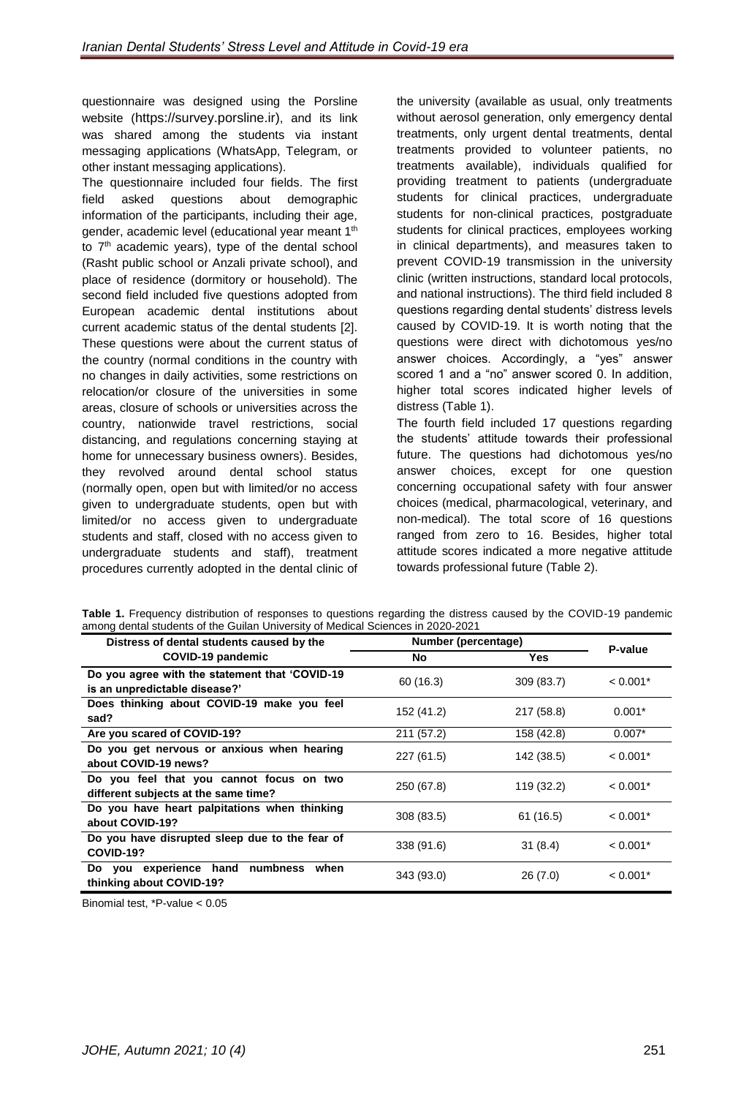questionnaire was designed using the Porsline website ([https://survey.porsline.ir\)](https://survey.porsline.ir)/), and its link was shared among the students via instant messaging applications (WhatsApp, Telegram, or other instant messaging applications).

The questionnaire included four fields. The first field asked questions about demographic information of the participants, including their age, gender, academic level (educational year meant 1<sup>th</sup> to  $7<sup>th</sup>$  academic years), type of the dental school (Rasht public school or Anzali private school), and place of residence (dormitory or household). The second field included five questions adopted from European academic dental institutions about current academic status of the dental students [2]. These questions were about the current status of the country (normal conditions in the country with no changes in daily activities, some restrictions on relocation/or closure of the universities in some areas, closure of schools or universities across the country, nationwide travel restrictions, social distancing, and regulations concerning staying at home for unnecessary business owners). Besides, they revolved around dental school status (normally open, open but with limited/or no access given to undergraduate students, open but with limited/or no access given to undergraduate students and staff, closed with no access given to undergraduate students and staff), treatment procedures currently adopted in the dental clinic of

the university (available as usual, only treatments without aerosol generation, only emergency dental treatments, only urgent dental treatments, dental treatments provided to volunteer patients, no treatments available), individuals qualified for providing treatment to patients (undergraduate students for clinical practices, undergraduate students for non-clinical practices, postgraduate students for clinical practices, employees working in clinical departments), and measures taken to prevent COVID-19 transmission in the university clinic (written instructions, standard local protocols, and national instructions). The third field included 8 questions regarding dental students' distress levels caused by COVID-19. It is worth noting that the questions were direct with dichotomous yes/no answer choices. Accordingly, a "yes" answer scored 1 and a "no" answer scored 0. In addition, higher total scores indicated higher levels of distress (Table 1).

The fourth field included 17 questions regarding the students' attitude towards their professional future. The questions had dichotomous yes/no answer choices, except for one question concerning occupational safety with four answer choices (medical, pharmacological, veterinary, and non-medical). The total score of 16 questions ranged from zero to 16. Besides, higher total attitude scores indicated a more negative attitude towards professional future (Table 2).

**Table 1.** Frequency distribution of responses to questions regarding the distress caused by the COVID-19 pandemic among dental students of the Guilan University of Medical Sciences in 2020-2021

| Distress of dental students caused by the                                        | Number (percentage) | P-value    |            |
|----------------------------------------------------------------------------------|---------------------|------------|------------|
| <b>COVID-19 pandemic</b>                                                         | <b>No</b>           | <b>Yes</b> |            |
| Do you agree with the statement that 'COVID-19<br>is an unpredictable disease?'  | 60 (16.3)           | 309(83.7)  | $< 0.001*$ |
| Does thinking about COVID-19 make you feel<br>sad?                               | 152 (41.2)          | 217 (58.8) | $0.001*$   |
| Are you scared of COVID-19?                                                      | 211 (57.2)          | 158 (42.8) | $0.007*$   |
| Do you get nervous or anxious when hearing<br>about COVID-19 news?               | 227 (61.5)          | 142 (38.5) | $< 0.001*$ |
| Do you feel that you cannot focus on two<br>different subjects at the same time? | 250 (67.8)          | 119 (32.2) | $< 0.001*$ |
| Do you have heart palpitations when thinking<br>about COVID-19?                  | 308 (83.5)          | 61 (16.5)  | $< 0.001*$ |
| Do you have disrupted sleep due to the fear of<br><b>COVID-19?</b>               | 338 (91.6)          | 31(8.4)    | $< 0.001*$ |
| experience hand<br>numbness<br>when<br>Do you<br>thinking about COVID-19?        | 343 (93.0)          | 26(7.0)    | $< 0.001*$ |

Binomial test, \*P-value < 0.05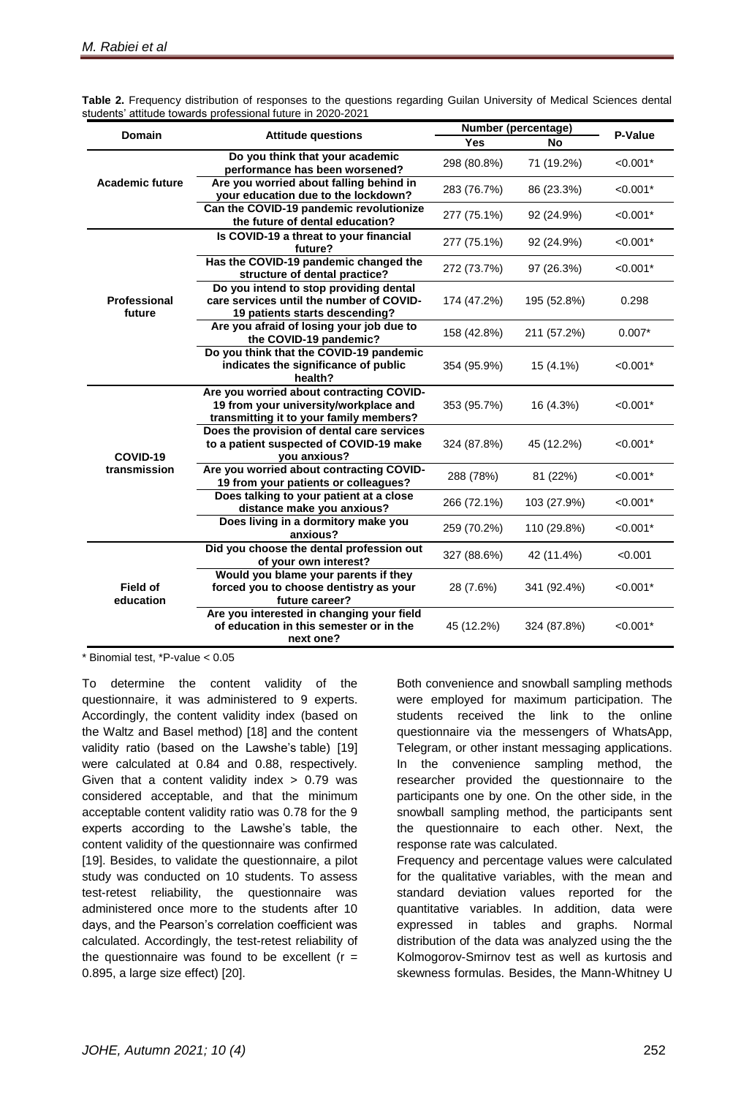|                               |                                                                                                                              | Number (percentage) |             |            |  |
|-------------------------------|------------------------------------------------------------------------------------------------------------------------------|---------------------|-------------|------------|--|
| <b>Domain</b>                 | <b>Attitude questions</b>                                                                                                    | <b>Yes</b>          | <b>No</b>   | P-Value    |  |
| <b>Academic future</b>        | Do you think that your academic<br>performance has been worsened?                                                            | 298 (80.8%)         | 71 (19.2%)  | $< 0.001*$ |  |
|                               | Are you worried about falling behind in<br>your education due to the lockdown?                                               | 283 (76.7%)         | 86 (23.3%)  | $< 0.001*$ |  |
|                               | Can the COVID-19 pandemic revolutionize<br>the future of dental education?                                                   | 277 (75.1%)         | 92 (24.9%)  | $< 0.001*$ |  |
|                               | Is COVID-19 a threat to your financial<br>future?                                                                            | 277 (75.1%)         | 92 (24.9%)  | $< 0.001*$ |  |
|                               | Has the COVID-19 pandemic changed the<br>structure of dental practice?                                                       | 272 (73.7%)         | 97 (26.3%)  | $< 0.001*$ |  |
| <b>Professional</b><br>future | Do you intend to stop providing dental<br>care services until the number of COVID-<br>19 patients starts descending?         | 174 (47.2%)         | 195 (52.8%) | 0.298      |  |
|                               | Are you afraid of losing your job due to<br>the COVID-19 pandemic?                                                           | 158 (42.8%)         | 211 (57.2%) | $0.007*$   |  |
|                               | Do you think that the COVID-19 pandemic<br>indicates the significance of public<br>health?                                   | 354 (95.9%)         | 15 (4.1%)   | $< 0.001*$ |  |
| COVID-19<br>transmission      | Are you worried about contracting COVID-<br>19 from your university/workplace and<br>transmitting it to your family members? | 353 (95.7%)         | 16 (4.3%)   | $< 0.001*$ |  |
|                               | Does the provision of dental care services<br>to a patient suspected of COVID-19 make<br>you anxious?                        | 324 (87.8%)         | 45 (12.2%)  | $< 0.001*$ |  |
|                               | Are you worried about contracting COVID-<br>19 from your patients or colleagues?                                             | 288 (78%)           | 81 (22%)    | $< 0.001*$ |  |
|                               | Does talking to your patient at a close<br>distance make you anxious?                                                        | 266 (72.1%)         | 103 (27.9%) | $< 0.001*$ |  |
|                               | Does living in a dormitory make you<br>anxious?                                                                              | 259 (70.2%)         | 110 (29.8%) | $< 0.001*$ |  |
| <b>Field of</b><br>education  | Did you choose the dental profession out<br>of your own interest?                                                            | 327 (88.6%)         | 42 (11.4%)  | < 0.001    |  |
|                               | Would you blame your parents if they<br>forced you to choose dentistry as your<br>future career?                             | 28 (7.6%)           | 341 (92.4%) | $< 0.001*$ |  |
|                               | Are you interested in changing your field<br>of education in this semester or in the<br>next one?                            | 45 (12.2%)          | 324 (87.8%) | $< 0.001*$ |  |

**Table 2.** Frequency distribution of responses to the questions regarding Guilan University of Medical Sciences dental students' attitude towards professional future in 2020-2021

\* Binomial test, \*P-value < 0.05

To determine the content validity of the questionnaire, it was administered to 9 experts. Accordingly, the content validity index (based on the Waltz and Basel method) [18] and the content validity ratio (based on the Lawshe's table) [19] were calculated at 0.84 and 0.88, respectively. Given that a content validity index  $> 0.79$  was considered acceptable, and that the minimum acceptable content validity ratio was 0.78 for the 9 experts according to the Lawshe's table, the content validity of the questionnaire was confirmed [19]. Besides, to validate the questionnaire, a pilot study was conducted on 10 students. To assess test-retest reliability, the questionnaire was administered once more to the students after 10 days, and the Pearson's correlation coefficient was calculated. Accordingly, the test-retest reliability of the questionnaire was found to be excellent  $(r =$ 0.895, a large size effect) [20].

Both convenience and snowball sampling methods were employed for maximum participation. The students received the link to the online questionnaire via the messengers of WhatsApp, Telegram, or other instant messaging applications. In the convenience sampling method, the researcher provided the questionnaire to the participants one by one. On the other side, in the snowball sampling method, the participants sent the questionnaire to each other. Next, the response rate was calculated.

Frequency and percentage values were calculated for the qualitative variables, with the mean and standard deviation values reported for the quantitative variables. In addition, data were expressed in tables and graphs. Normal distribution of the data was analyzed using the the Kolmogorov-Smirnov test as well as kurtosis and skewness formulas. Besides, the Mann-Whitney U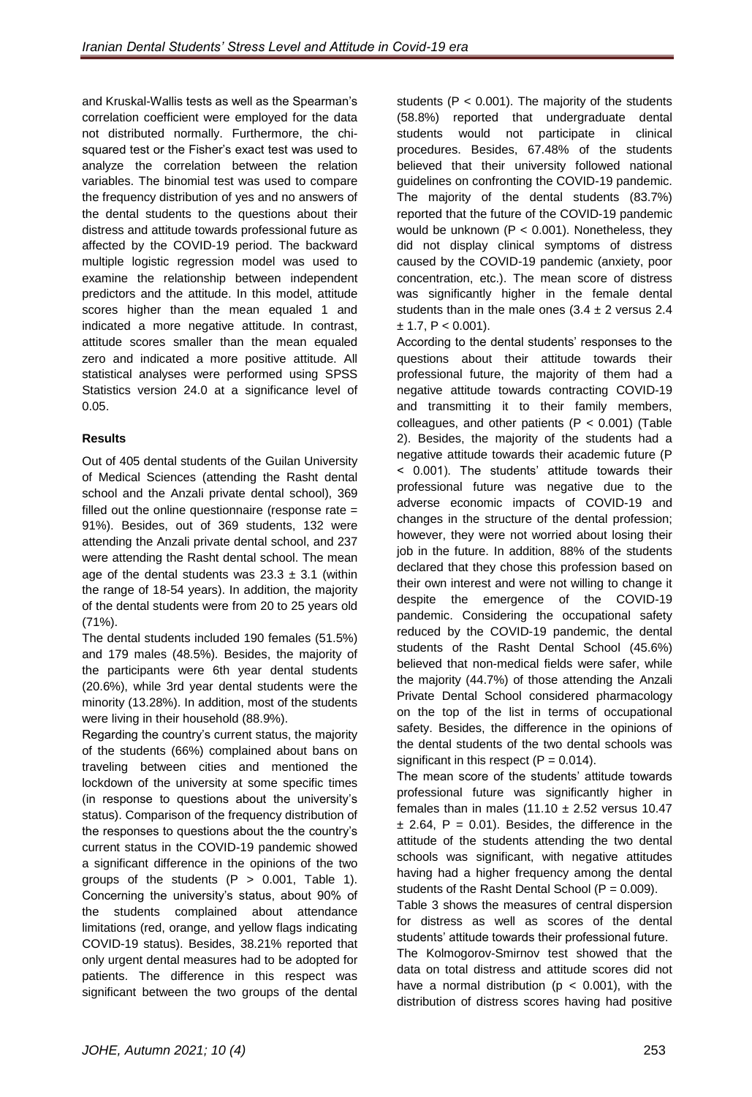and Kruskal-Wallis tests as well as the Spearman's correlation coefficient were employed for the data not distributed normally. Furthermore, the chisquared test or the Fisher's exact test was used to analyze the correlation between the relation variables. The binomial test was used to compare the frequency distribution of yes and no answers of the dental students to the questions about their distress and attitude towards professional future as affected by the COVID-19 period. The backward multiple logistic regression model was used to examine the relationship between independent predictors and the attitude. In this model, attitude scores higher than the mean equaled 1 and indicated a more negative attitude. In contrast, attitude scores smaller than the mean equaled zero and indicated a more positive attitude. All statistical analyses were performed using SPSS Statistics version 24.0 at a significance level of 0.05.

## **Results**

Out of 405 dental students of the Guilan University of Medical Sciences (attending the Rasht dental school and the Anzali private dental school), 369 filled out the online questionnaire (response rate = 91%). Besides, out of 369 students, 132 were attending the Anzali private dental school, and 237 were attending the Rasht dental school. The mean age of the dental students was  $23.3 \pm 3.1$  (within the range of 18-54 years). In addition, the majority of the dental students were from 20 to 25 years old (71%).

The dental students included 190 females (51.5%) and 179 males (48.5%). Besides, the majority of the participants were 6th year dental students (20.6%), while 3rd year dental students were the minority (13.28%). In addition, most of the students were living in their household (88.9%).

Regarding the country's current status, the majority of the students (66%) complained about bans on traveling between cities and mentioned the lockdown of the university at some specific times (in response to questions about the university's status). Comparison of the frequency distribution of the responses to questions about the the country's current status in the COVID-19 pandemic showed a significant difference in the opinions of the two groups of the students  $(P > 0.001,$  Table 1). Concerning the university's status, about 90% of the students complained about attendance limitations (red, orange, and yellow flags indicating COVID-19 status). Besides, 38.21% reported that only urgent dental measures had to be adopted for patients. The difference in this respect was significant between the two groups of the dental

students ( $P < 0.001$ ). The majority of the students (58.8%) reported that undergraduate dental students would not participate in clinical procedures. Besides, 67.48% of the students believed that their university followed national guidelines on confronting the COVID-19 pandemic. The majority of the dental students (83.7%) reported that the future of the COVID-19 pandemic would be unknown ( $P < 0.001$ ). Nonetheless, they did not display clinical symptoms of distress caused by the COVID-19 pandemic (anxiety, poor concentration, etc.). The mean score of distress was significantly higher in the female dental students than in the male ones  $(3.4 \pm 2 \text{ versus } 2.4$  $± 1.7, P < 0.001$ ).

According to the dental students' responses to the questions about their attitude towards their professional future, the majority of them had a negative attitude towards contracting COVID-19 and transmitting it to their family members, colleagues, and other patients  $(P < 0.001)$  (Table 2). Besides, the majority of the students had a negative attitude towards their academic future (P < 0.001). The students' attitude towards their professional future was negative due to the adverse economic impacts of COVID-19 and changes in the structure of the dental profession; however, they were not worried about losing their job in the future. In addition, 88% of the students declared that they chose this profession based on their own interest and were not willing to change it despite the emergence of the COVID-19 pandemic. Considering the occupational safety reduced by the COVID-19 pandemic, the dental students of the Rasht Dental School (45.6%) believed that non-medical fields were safer, while the majority (44.7%) of those attending the Anzali Private Dental School considered pharmacology on the top of the list in terms of occupational safety. Besides, the difference in the opinions of the dental students of the two dental schools was significant in this respect  $(P = 0.014)$ .

The mean score of the students' attitude towards professional future was significantly higher in females than in males  $(11.10 \pm 2.52$  versus 10.47  $\pm$  2.64, P = 0.01). Besides, the difference in the attitude of the students attending the two dental schools was significant, with negative attitudes having had a higher frequency among the dental students of the Rasht Dental School ( $P = 0.009$ ).

Table 3 shows the measures of central dispersion for distress as well as scores of the dental students' attitude towards their professional future. The Kolmogorov-Smirnov test showed that the data on total distress and attitude scores did not have a normal distribution ( $p < 0.001$ ), with the distribution of distress scores having had positive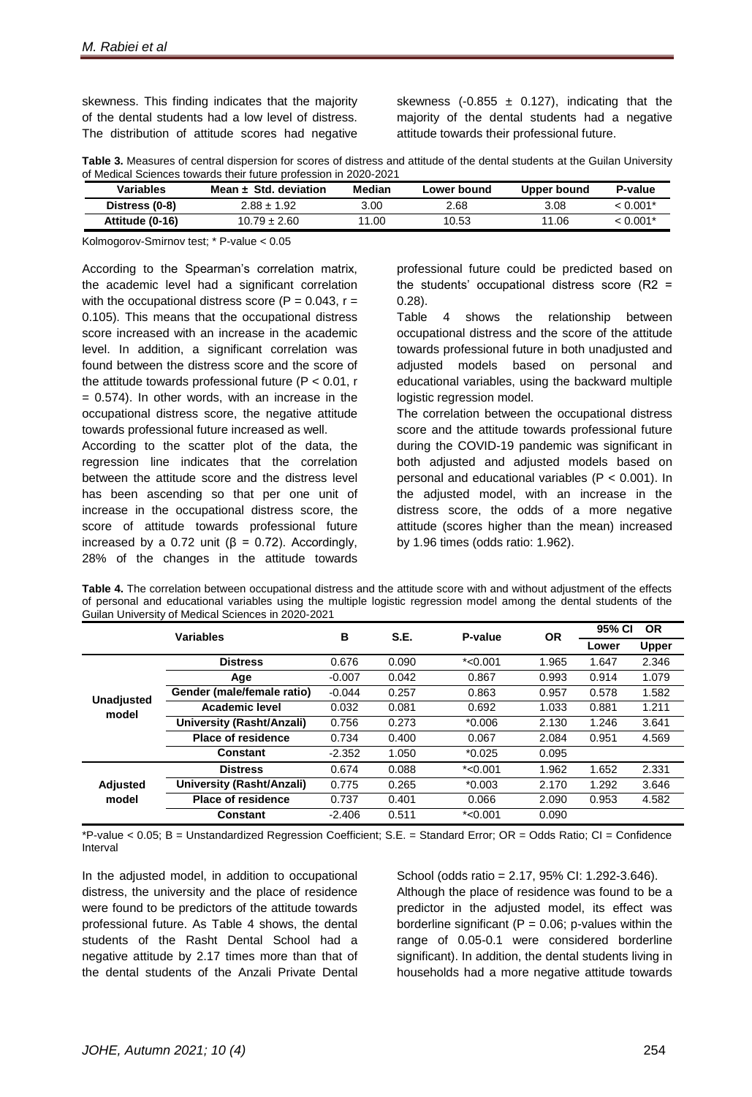skewness. This finding indicates that the majority of the dental students had a low level of distress. The distribution of attitude scores had negative

skewness (-0.855  $\pm$  0.127), indicating that the majority of the dental students had a negative attitude towards their professional future.

**Table 3.** Measures of central dispersion for scores of distress and attitude of the dental students at the Guilan University of Medical Sciences towards their future profession in 2020-2021

| Variables       | Mean $\pm$ Std. deviation | Median | Lower bound | Upper bound | P-value     |
|-----------------|---------------------------|--------|-------------|-------------|-------------|
| Distress (0-8)  | $2.88 + 1.92$             | 3.00   | 2.68        | 3.08        | $< 0.001$ * |
| Attitude (0-16) | $10.79 \pm 2.60$          | 11.00  | 10.53       | 11.06       | $< 0.001$ * |

Kolmogorov-Smirnov test; \* P-value < 0.05

According to the Spearman's correlation matrix, the academic level had a significant correlation with the occupational distress score ( $P = 0.043$ ,  $r =$ 0.105). This means that the occupational distress score increased with an increase in the academic level. In addition, a significant correlation was found between the distress score and the score of the attitude towards professional future ( $P < 0.01$ , r  $= 0.574$ ). In other words, with an increase in the occupational distress score, the negative attitude towards professional future increased as well.

According to the scatter plot of the data, the regression line indicates that the correlation between the attitude score and the distress level has been ascending so that per one unit of increase in the occupational distress score, the score of attitude towards professional future increased by a 0.72 unit ( $β = 0.72$ ). Accordingly, 28% of the changes in the attitude towards

professional future could be predicted based on the students' occupational distress score  $(R2 =$ 0.28).

Table 4 shows the relationship between occupational distress and the score of the attitude towards professional future in both unadjusted and adjusted models based on personal and educational variables, using the backward multiple logistic regression model.

The correlation between the occupational distress score and the attitude towards professional future during the COVID-19 pandemic was significant in both adjusted and adjusted models based on personal and educational variables (P < 0.001). In the adjusted model, with an increase in the distress score, the odds of a more negative attitude (scores higher than the mean) increased by 1.96 times (odds ratio: 1.962).

**Table 4.** The correlation between occupational distress and the attitude score with and without adjustment of the effects of personal and educational variables using the multiple logistic regression model among the dental students of the Guilan University of Medical Sciences in 2020-2021

| <b>Variables</b>           |                                  | B        | <b>S.E.</b> | P-value    | <b>OR</b> | 95% CI<br><b>OR</b> |              |
|----------------------------|----------------------------------|----------|-------------|------------|-----------|---------------------|--------------|
|                            |                                  |          |             |            |           | Lower               | <b>Upper</b> |
| <b>Unadjusted</b><br>model | <b>Distress</b>                  | 0.676    | 0.090       | $*$ <0.001 | 1.965     | 1.647               | 2.346        |
|                            | Age                              | $-0.007$ | 0.042       | 0.867      | 0.993     | 0.914               | 1.079        |
|                            | Gender (male/female ratio)       | $-0.044$ | 0.257       | 0.863      | 0.957     | 0.578               | 1.582        |
|                            | <b>Academic level</b>            | 0.032    | 0.081       | 0.692      | 1.033     | 0.881               | 1.211        |
|                            | <b>University (Rasht/Anzali)</b> | 0.756    | 0.273       | $*0.006$   | 2.130     | 1.246               | 3.641        |
|                            | <b>Place of residence</b>        | 0.734    | 0.400       | 0.067      | 2.084     | 0.951               | 4.569        |
|                            | <b>Constant</b>                  | $-2.352$ | 1.050       | $*0.025$   | 0.095     |                     |              |
| <b>Adjusted</b><br>model   | <b>Distress</b>                  | 0.674    | 0.088       | $*<0.001$  | 1.962     | 1.652               | 2.331        |
|                            | <b>University (Rasht/Anzali)</b> | 0.775    | 0.265       | $*0.003$   | 2.170     | 1.292               | 3.646        |
|                            | <b>Place of residence</b>        | 0.737    | 0.401       | 0.066      | 2.090     | 0.953               | 4.582        |
|                            | <b>Constant</b>                  | $-2.406$ | 0.511       | $*$ <0.001 | 0.090     |                     |              |

\*P-value < 0.05; B = Unstandardized Regression Coefficient; S.E. = Standard Error; OR = Odds Ratio; CI = Confidence Interval

In the adjusted model, in addition to occupational distress, the university and the place of residence were found to be predictors of the attitude towards professional future. As Table 4 shows, the dental students of the Rasht Dental School had a negative attitude by 2.17 times more than that of the dental students of the Anzali Private Dental

School (odds ratio = 2.17, 95% CI: 1.292-3.646). Although the place of residence was found to be a predictor in the adjusted model, its effect was borderline significant ( $P = 0.06$ ; p-values within the range of 0.05-0.1 were considered borderline significant). In addition, the dental students living in households had a more negative attitude towards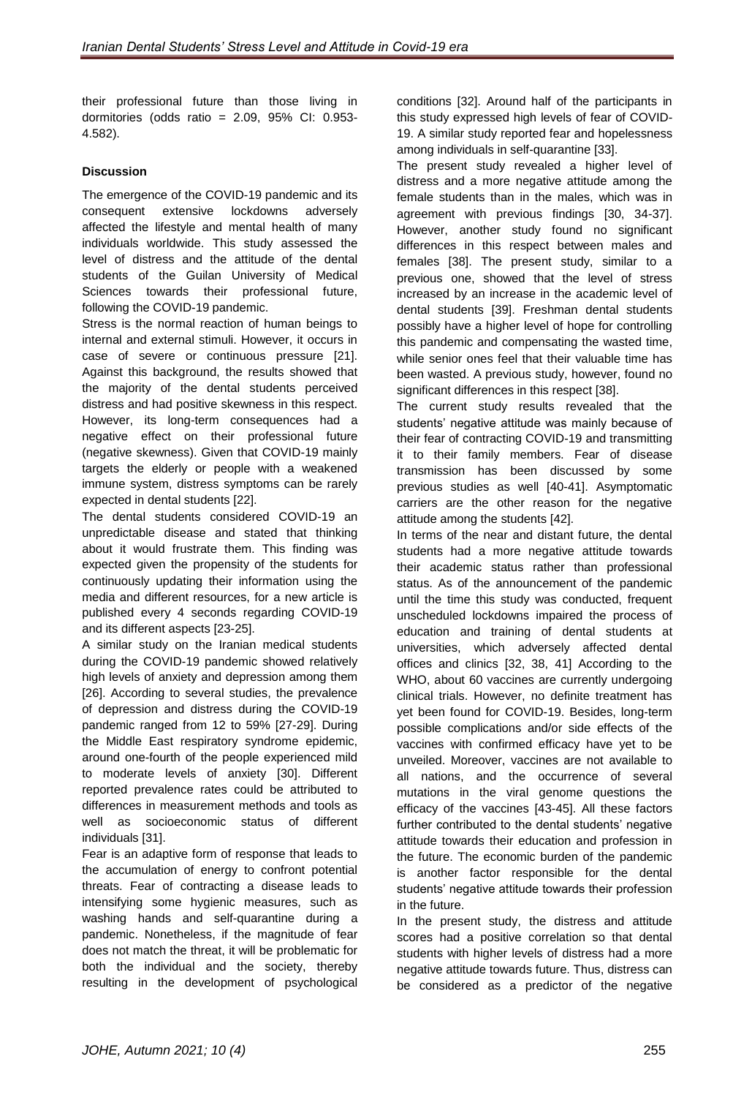their professional future than those living in dormitories (odds ratio = 2.09, 95% CI: 0.953- 4.582).

## **Discussion**

The emergence of the COVID-19 pandemic and its consequent extensive lockdowns adversely affected the lifestyle and mental health of many individuals worldwide. This study assessed the level of distress and the attitude of the dental students of the Guilan University of Medical Sciences towards their professional future, following the COVID-19 pandemic.

Stress is the normal reaction of human beings to internal and external stimuli. However, it occurs in case of severe or continuous pressure [21]. Against this background, the results showed that the majority of the dental students perceived distress and had positive skewness in this respect. However, its long-term consequences had a negative effect on their professional future (negative skewness). Given that COVID-19 mainly targets the elderly or people with a weakened immune system, distress symptoms can be rarely expected in dental students [22].

The dental students considered COVID-19 an unpredictable disease and stated that thinking about it would frustrate them. This finding was expected given the propensity of the students for continuously updating their information using the media and different resources, for a new article is published every 4 seconds regarding COVID-19 and its different aspects [23-25].

A similar study on the Iranian medical students during the COVID-19 pandemic showed relatively high levels of anxiety and depression among them [26]. According to several studies, the prevalence of depression and distress during the COVID-19 pandemic ranged from 12 to 59% [27-29]. During the Middle East respiratory syndrome epidemic, around one-fourth of the people experienced mild to moderate levels of anxiety [30]. Different reported prevalence rates could be attributed to differences in measurement methods and tools as well as socioeconomic status of different individuals [31].

Fear is an adaptive form of response that leads to the accumulation of energy to confront potential threats. Fear of contracting a disease leads to intensifying some hygienic measures, such as washing hands and self-quarantine during a pandemic. Nonetheless, if the magnitude of fear does not match the threat, it will be problematic for both the individual and the society, thereby resulting in the development of psychological

conditions [32]. Around half of the participants in this study expressed high levels of fear of COVID-19. A similar study reported fear and hopelessness among individuals in self-quarantine [33].

The present study revealed a higher level of distress and a more negative attitude among the female students than in the males, which was in agreement with previous findings [30, 34-37]. However, another study found no significant differences in this respect between males and females [38]. The present study, similar to a previous one, showed that the level of stress increased by an increase in the academic level of dental students [39]. Freshman dental students possibly have a higher level of hope for controlling this pandemic and compensating the wasted time, while senior ones feel that their valuable time has been wasted. A previous study, however, found no significant differences in this respect [38].

The current study results revealed that the students' negative attitude was mainly because of their fear of contracting COVID-19 and transmitting it to their family members. Fear of disease transmission has been discussed by some previous studies as well [40-41]. Asymptomatic carriers are the other reason for the negative attitude among the students [42].

In terms of the near and distant future, the dental students had a more negative attitude towards their academic status rather than professional status. As of the announcement of the pandemic until the time this study was conducted, frequent unscheduled lockdowns impaired the process of education and training of dental students at universities, which adversely affected dental offices and clinics [32, 38, 41] According to the WHO, about 60 vaccines are currently undergoing clinical trials. However, no definite treatment has yet been found for COVID-19. Besides, long-term possible complications and/or side effects of the vaccines with confirmed efficacy have yet to be unveiled. Moreover, vaccines are not available to all nations, and the occurrence of several mutations in the viral genome questions the efficacy of the vaccines [43-45]. All these factors further contributed to the dental students' negative attitude towards their education and profession in the future. The economic burden of the pandemic is another factor responsible for the dental students' negative attitude towards their profession in the future.

In the present study, the distress and attitude scores had a positive correlation so that dental students with higher levels of distress had a more negative attitude towards future. Thus, distress can be considered as a predictor of the negative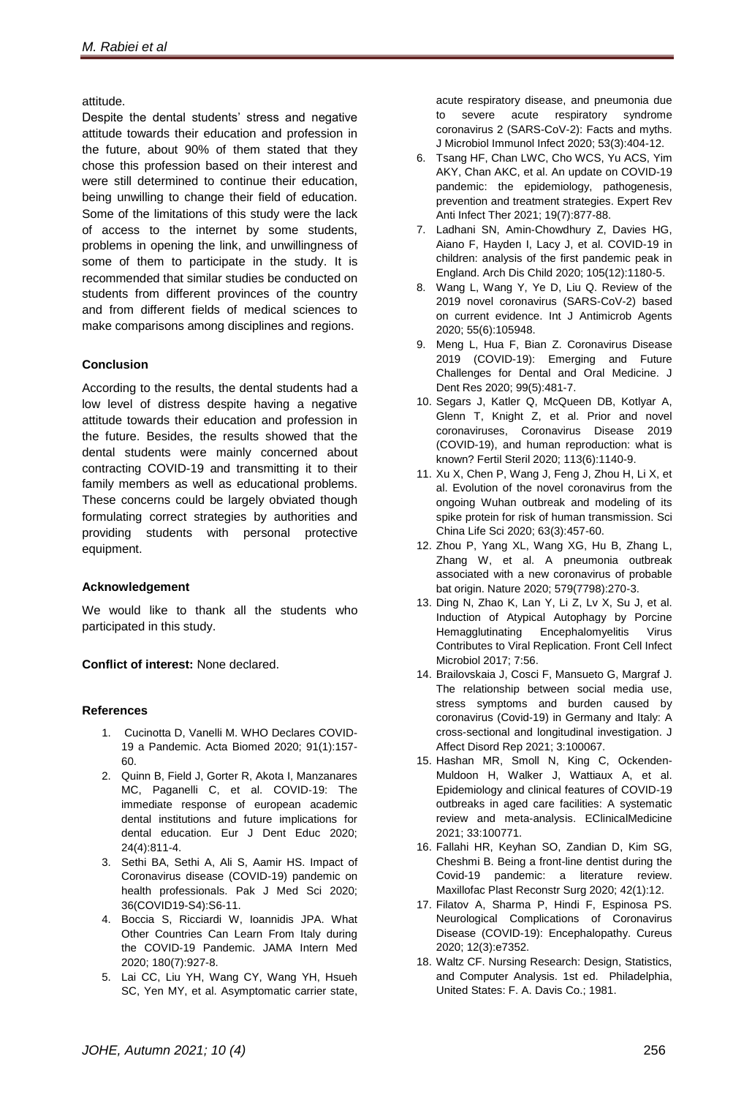## attitude.

Despite the dental students' stress and negative attitude towards their education and profession in the future, about 90% of them stated that they chose this profession based on their interest and were still determined to continue their education, being unwilling to change their field of education. Some of the limitations of this study were the lack of access to the internet by some students, problems in opening the link, and unwillingness of some of them to participate in the study. It is recommended that similar studies be conducted on students from different provinces of the country and from different fields of medical sciences to make comparisons among disciplines and regions.

## **Conclusion**

According to the results, the dental students had a low level of distress despite having a negative attitude towards their education and profession in the future. Besides, the results showed that the dental students were mainly concerned about contracting COVID-19 and transmitting it to their family members as well as educational problems. These concerns could be largely obviated though formulating correct strategies by authorities and providing students with personal protective equipment.

## **Acknowledgement**

We would like to thank all the students who participated in this study.

**Conflict of interest:** None declared.

### **References**

- 1. Cucinotta D, Vanelli M. WHO Declares COVID-19 a Pandemic. Acta Biomed 2020; 91(1):157- 60.
- 2. Quinn B, Field J, Gorter R, Akota I, Manzanares MC, Paganelli C, et al. COVID‐19: The immediate response of european academic dental institutions and future implications for dental education. Eur J Dent Educ 2020; 24(4):811-4.
- 3. Sethi BA, Sethi A, Ali S, Aamir HS. Impact of Coronavirus disease (COVID-19) pandemic on health professionals. Pak J Med Sci 2020; 36(COVID19-S4):S6-11.
- 4. Boccia S, Ricciardi W, Ioannidis JPA. What Other Countries Can Learn From Italy during the COVID-19 Pandemic. JAMA Intern Med 2020; 180(7):927-8.
- 5. Lai CC, Liu YH, Wang CY, Wang YH, Hsueh SC, Yen MY, et al. Asymptomatic carrier state,

acute respiratory disease, and pneumonia due to severe acute respiratory syndrome coronavirus 2 (SARS-CoV-2): Facts and myths. J Microbiol Immunol Infect 2020; 53(3):404-12.

- 6. Tsang HF, Chan LWC, Cho WCS, Yu ACS, Yim AKY, Chan AKC, et al. An update on COVID-19 pandemic: the epidemiology, pathogenesis, prevention and treatment strategies. Expert Rev Anti Infect Ther 2021; 19(7):877-88.
- 7. Ladhani SN, Amin-Chowdhury Z, Davies HG, Aiano F, Hayden I, Lacy J, et al. COVID-19 in children: analysis of the first pandemic peak in England. Arch Dis Child 2020; 105(12):1180-5.
- 8. Wang L, Wang Y, Ye D, Liu Q. Review of the 2019 novel coronavirus (SARS-CoV-2) based on current evidence. Int J Antimicrob Agents 2020; 55(6):105948.
- 9. Meng L, Hua F, Bian Z. Coronavirus Disease 2019 (COVID-19): Emerging and Future Challenges for Dental and Oral Medicine. J Dent Res 2020; 99(5):481-7.
- 10. Segars J, Katler Q, McQueen DB, Kotlyar A, Glenn T, Knight Z, et al. Prior and novel coronaviruses, Coronavirus Disease 2019 (COVID-19), and human reproduction: what is known? Fertil Steril 2020; 113(6):1140-9.
- 11. Xu X, Chen P, Wang J, Feng J, Zhou H, Li X, et al. Evolution of the novel coronavirus from the ongoing Wuhan outbreak and modeling of its spike protein for risk of human transmission. Sci China Life Sci 2020; 63(3):457-60.
- 12. Zhou P, Yang XL, Wang XG, Hu B, Zhang L, Zhang W, et al. A pneumonia outbreak associated with a new coronavirus of probable bat origin. Nature 2020; 579(7798):270-3.
- 13. Ding N, Zhao K, Lan Y, Li Z, Lv X, Su J, et al. Induction of Atypical Autophagy by Porcine Hemagglutinating Encephalomyelitis Virus Contributes to Viral Replication. Front Cell Infect Microbiol 2017; 7:56.
- 14. Brailovskaia J, Cosci F, Mansueto G, Margraf J. The relationship between social media use, stress symptoms and burden caused by coronavirus (Covid-19) in Germany and Italy: A cross-sectional and longitudinal investigation. J Affect Disord Rep 2021; 3:100067.
- 15. Hashan MR, Smoll N, King C, Ockenden-Muldoon H, Walker J, Wattiaux A, et al. Epidemiology and clinical features of COVID-19 outbreaks in aged care facilities: A systematic review and meta-analysis. EClinicalMedicine 2021; 33:100771.
- 16. Fallahi HR, Keyhan SO, Zandian D, Kim SG, Cheshmi B. Being a front-line dentist during the Covid-19 pandemic: a literature review. Maxillofac Plast Reconstr Surg 2020; 42(1):12.
- 17. Filatov A, Sharma P, Hindi F, Espinosa PS. Neurological Complications of Coronavirus Disease (COVID-19): Encephalopathy. Cureus 2020; 12(3):e7352.
- 18. Waltz CF. Nursing Research: Design, Statistics, and Computer Analysis. 1st ed. [Philadelphia,](https://en.wikipedia.org/wiki/Philadelphia) [United States:](https://en.wikipedia.org/wiki/United_States) F. A. Davis Co.; 1981.